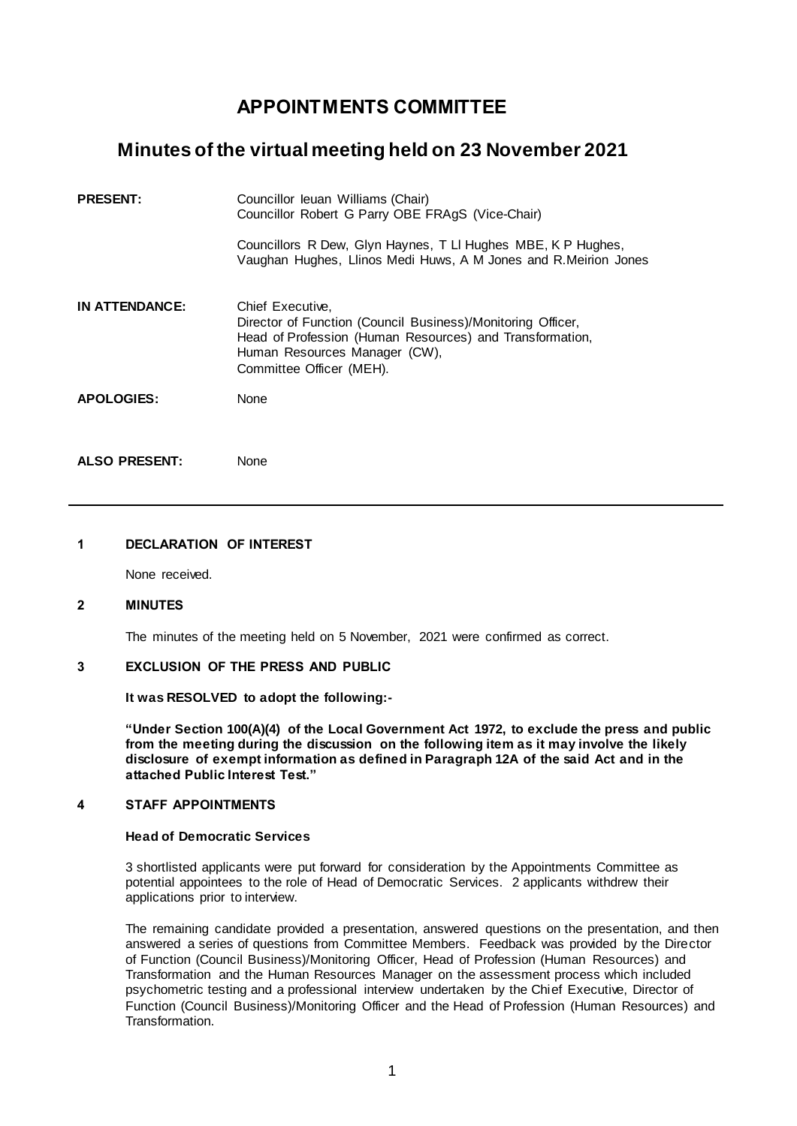# **APPOINTMENTS COMMITTEE**

## **Minutes of the virtual meeting held on 23 November 2021**

| <b>PRESENT:</b>   | Councillor leuan Williams (Chair)<br>Councillor Robert G Parry OBE FRAgS (Vice-Chair)                                                                                                                    |
|-------------------|----------------------------------------------------------------------------------------------------------------------------------------------------------------------------------------------------------|
|                   | Councillors R Dew, Glyn Haynes, T LI Hughes MBE, K P Hughes,<br>Vaughan Hughes, Llinos Medi Huws, A M Jones and R.Meirion Jones                                                                          |
| IN ATTENDANCE:    | Chief Executive,<br>Director of Function (Council Business)/Monitoring Officer,<br>Head of Profession (Human Resources) and Transformation,<br>Human Resources Manager (CW),<br>Committee Officer (MEH). |
| <b>APOLOGIES:</b> | None                                                                                                                                                                                                     |
|                   |                                                                                                                                                                                                          |

**ALSO PRESENT:** None

#### **1 DECLARATION OF INTEREST**

None received.

#### **2 MINUTES**

The minutes of the meeting held on 5 November, 2021 were confirmed as correct.

### **3 EXCLUSION OF THE PRESS AND PUBLIC**

**It was RESOLVED to adopt the following:-**

**"Under Section 100(A)(4) of the Local Government Act 1972, to exclude the press and public from the meeting during the discussion on the following item as it may involve the likely disclosure of exempt information as defined in Paragraph 12A of the said Act and in the attached Public Interest Test."**

#### **4 STAFF APPOINTMENTS**

#### **Head of Democratic Services**

3 shortlisted applicants were put forward for consideration by the Appointments Committee as potential appointees to the role of Head of Democratic Services. 2 applicants withdrew their applications prior to interview.

The remaining candidate provided a presentation, answered questions on the presentation, and then answered a series of questions from Committee Members. Feedback was provided by the Director of Function (Council Business)/Monitoring Officer, Head of Profession (Human Resources) and Transformation and the Human Resources Manager on the assessment process which included psychometric testing and a professional interview undertaken by the Chief Executive, Director of Function (Council Business)/Monitoring Officer and the Head of Profession (Human Resources) and Transformation.